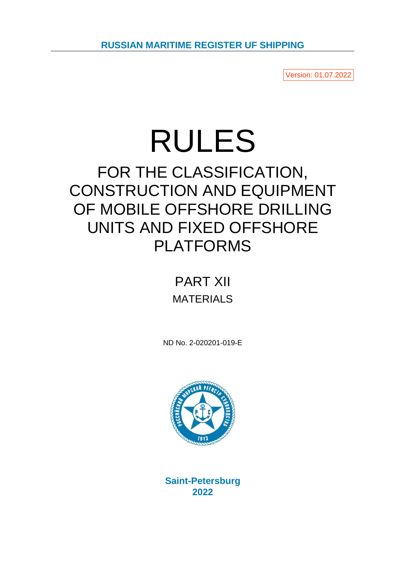Version: 01.07.2022

# RULES

# FOR THE CLASSIFICATION, CONSTRUCTION AND EQUIPMENT OF MOBILE OFFSHORE DRILLING UNITS AND FIXED OFFSHORE PLATFORMS

## PART XII MATERIALS

ND No. 2-020201-019-E



**Saint-Petersburg 2022**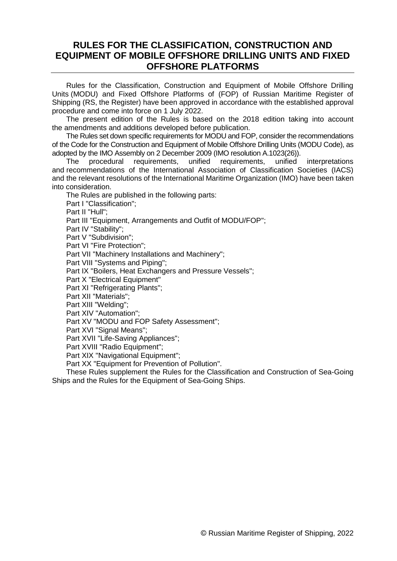## **RULES FOR THE CLASSIFICATION, CONSTRUCTION AND EQUIPMENT OF MOBILE OFFSHORE DRILLING UNITS AND FIXED OFFSHORE PLATFORMS**

Rules for the Classification, Construction and Equipment of Mobile Offshore Drilling Units (MODU) and Fixed Offshore Platforms of (FOP) of Russian Maritime Register of Shipping (RS, the Register) have been approved in accordance with the established approval procedure and come into force on 1 July 2022.

The present edition of the Rules is based on the 2018 edition taking into account the amendments and additions developed before publication.

The Rules set down specific requirements for MODU and FOP, consider the recommendations of the Code for the Construction and Equipment of Mobile Offshore Drilling Units (MODU Code), as adopted by the IMO Assembly on 2 December 2009 (IMO resolution A.1023(26)).

The procedural requirements, unified requirements, unified interpretations and recommendations of the International Association of Classification Societies (IACS) and the relevant resolutions of the International Maritime Organization (IMO) have been taken into consideration.

The Rules are published in the following parts:

Part I "Classification";

Part II "Hull";

Part III "Equipment, Arrangements and Outfit of MODU/FOP":

Part IV "Stability";

Part V "Subdivision";

Part VI "Fire Protection";

Part VII "Machinery Installations and Machinery";

Part VIII "Systems and Piping";

Part IX "Boilers, Heat Exchangers and Pressure Vessels";

Part X "Electrical Equipment"

Part XI "Refrigerating Plants";

Part XII "Materials";

Part XIII "Welding";

Part XIV "Automation";

Part XV "MODU and FOP Safety Assessment";

Part XVI "Signal Means";

Part XVII "Life-Saving Appliances";

Part XVIII "Radio Equipment";

Part XIX "Navigational Equipment";

Part XX "Equipment for Prevention of Pollution".

These Rules supplement the Rules for the Classification and Construction of Sea-Going Ships and the Rules for the Equipment of Sea-Going Ships.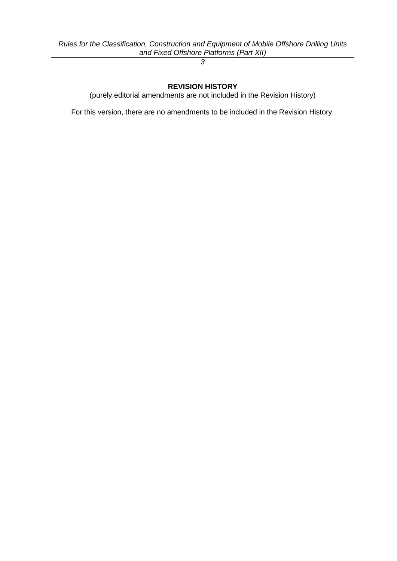*3*

**REVISION HISTORY**

(purely editorial amendments are not included in the Revision History)

For this version, there are no amendments to be included in the Revision History.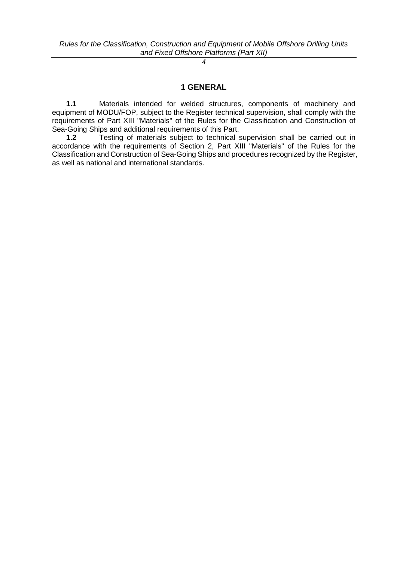### **1 GENERAL**

**1.1** Materials intended for welded structures, components of machinery and equipment of MODU/FOP, subject to the Register technical supervision, shall comply with the requirements of Part XIII "Materials" of the Rules for the Classification and Construction of Sea-Going Ships and additional requirements of this Part.

**1.2** Testing of materials subject to technical supervision shall be carried out in accordance with the requirements of Section 2, Part XIII "Materials" of the Rules for the Classification and Construction of Sea-Going Ships and procedures recognized by the Register, as well as national and international standards.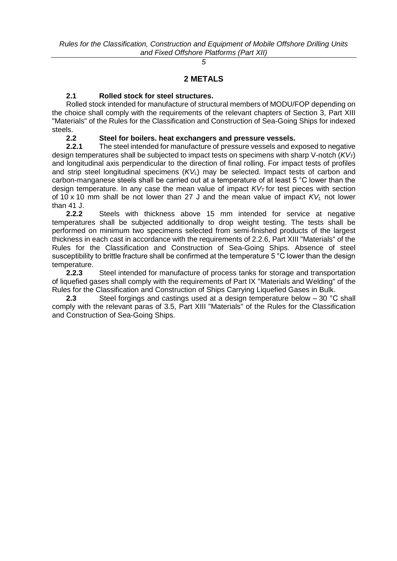*5*

#### **2 METALS**

### **2.1 Rolled stock for steel structures.**

Rolled stock intended for manufacture of structural members of MODU/FOP depending on the choice shall comply with the requirements of the relevant chapters of Section 3, Part XIII "Materials" of the Rules for the Classification and Construction of Sea-Going Ships for indexed steels.

#### **2.2 Steel for boilers. heat exchangers and pressure vessels.**

**2.2.1** The steel intended for manufacture of pressure vessels and exposed to negative design temperatures shall be subjected to impact tests on specimens with sharp V-notch (*KVT*) and longitudinal axis perpendicular to the direction of final rolling. For impact tests of profiles and strip steel longitudinal specimens (*KVL*) may be selected. Impact tests of carbon and carbon-manganese steels shall be carried out at a temperature of at least 5 °C lower than the design temperature. In any case the mean value of impact *KV<sup>T</sup>* for test pieces with section of 10 x 10 mm shall be not lower than 27 J and the mean value of impact *KV<sup>L</sup>* not lower than 41 J.

**2.2.2** Steels with thickness above 15 mm intended for service at negative temperatures shall be subjected additionally to drop weight testing. The tests shall be performed on minimum two specimens selected from semi-finished products of the largest thickness in each cast in accordance with the requirements of 2.2.6, Part XIII "Materials" of the Rules for the Classification and Construction of Sea-Going Ships. Absence of steel susceptibility to brittle fracture shall be confirmed at the temperature 5 °C lower than the design temperature.

**2.2.3** Steel intended for manufacture of process tanks for storage and transportation of liquefied gases shall comply with the requirements of Part IX "Materials and Welding" of the Rules for the Classification and Construction of Ships Carrying Liquefied Gases in Bulk.

**2.3** Steel forgings and castings used at a design temperature below – 30 °С shall comply with the relevant paras of 3.5, Part XIII "Materials" of the Rules for the Classification and Construction of Sea-Going Ships.